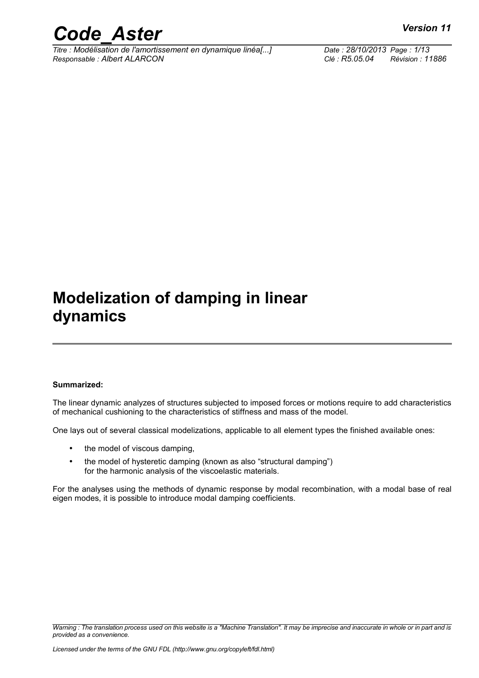

*Titre : Modélisation de l'amortissement en dynamique linéa[...] Date : 28/10/2013 Page : 1/13 Responsable : Albert ALARCON Clé : R5.05.04 Révision : 11886*

# **Modelization of damping in linear dynamics**

#### **Summarized:**

The linear dynamic analyzes of structures subjected to imposed forces or motions require to add characteristics of mechanical cushioning to the characteristics of stiffness and mass of the model.

One lays out of several classical modelizations, applicable to all element types the finished available ones:

- the model of viscous damping,
- the model of hysteretic damping (known as also "structural damping") for the harmonic analysis of the viscoelastic materials.

For the analyses using the methods of dynamic response by modal recombination, with a modal base of real eigen modes, it is possible to introduce modal damping coefficients.

*Warning : The translation process used on this website is a "Machine Translation". It may be imprecise and inaccurate in whole or in part and is provided as a convenience.*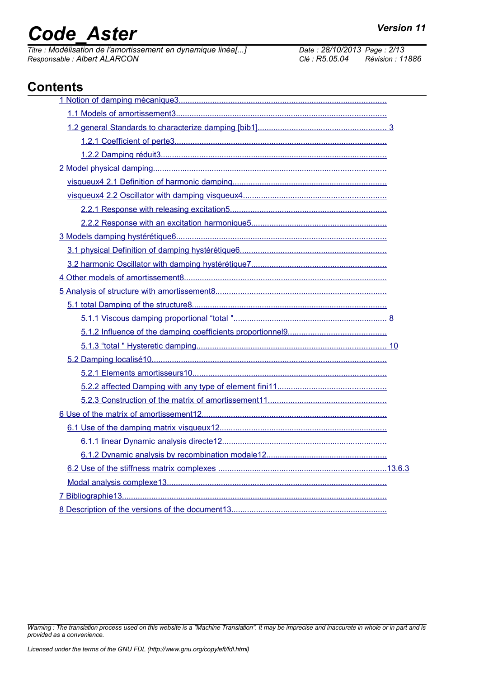# *Code\_Aster Version 11*<br> *Titre : Modélisation de l'amortissement en dvnamique linéal...1 Date : 28/10/2013 Page : 2/13*

*Titre : Modélisation de l'amortissement en dynamique linéa[...] Date : 28/10/2013 Page : 2/13 Responsable : Albert ALARCON Clé : R5.05.04 Révision : 11886*

# **Contents**

*Warning : The translation process used on this website is a "Machine Translation". It may be imprecise and inaccurate in whole or in part and is provided as a convenience.*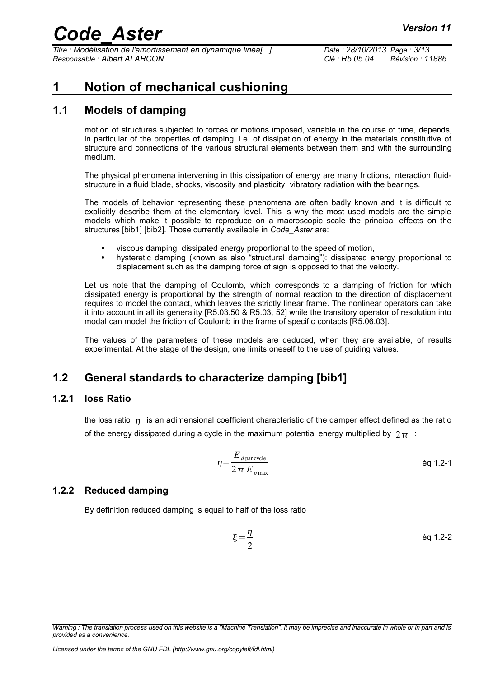*Titre : Modélisation de l'amortissement en dynamique linéa[...] Date : 28/10/2013 Page : 3/13 Responsable : Albert ALARCON Clé : R5.05.04 Révision : 11886*

# <span id="page-2-0"></span>**1 Notion of mechanical cushioning**

### **1.1 Models of damping**

<span id="page-2-4"></span>motion of structures subjected to forces or motions imposed, variable in the course of time, depends, in particular of the properties of damping, i.e. of dissipation of energy in the materials constitutive of structure and connections of the various structural elements between them and with the surrounding medium.

The physical phenomena intervening in this dissipation of energy are many frictions, interaction fluidstructure in a fluid blade, shocks, viscosity and plasticity, vibratory radiation with the bearings.

The models of behavior representing these phenomena are often badly known and it is difficult to explicitly describe them at the elementary level. This is why the most used models are the simple models which make it possible to reproduce on a macroscopic scale the principal effects on the structures [bib1] [bib2]. Those currently available in *Code\_Aster* are:

- viscous damping: dissipated energy proportional to the speed of motion,
- hysteretic damping (known as also "structural damping"): dissipated energy proportional to displacement such as the damping force of sign is opposed to that the velocity.

Let us note that the damping of Coulomb, which corresponds to a damping of friction for which dissipated energy is proportional by the strength of normal reaction to the direction of displacement requires to model the contact, which leaves the strictly linear frame. The nonlinear operators can take it into account in all its generality [R5.03.50 & R5.03, 52] while the transitory operator of resolution into modal can model the friction of Coulomb in the frame of specific contacts [R5.06.03].

The values of the parameters of these models are deduced, when they are available, of results experimental. At the stage of the design, one limits oneself to the use of guiding values.

## <span id="page-2-3"></span>**1.2 General standards to characterize damping [bib1]**

#### **1.2.1 loss Ratio**

<span id="page-2-2"></span>the loss ratio  $n_i$  is an adimensional coefficient characteristic of the damper effect defined as the ratio of the energy dissipated during a cycle in the maximum potential energy multiplied by  $2\pi$ :

$$
\eta = \frac{E_{d \text{ par cycle}}}{2 \pi E_{p \text{ max}}} \tag{6q 1.2-1}
$$

#### **1.2.2 Reduced damping**

<span id="page-2-1"></span>By definition reduced damping is equal to half of the loss ratio

$$
\xi = \frac{\eta}{2}
$$
 eq 1.2-2

*Warning : The translation process used on this website is a "Machine Translation". It may be imprecise and inaccurate in whole or in part and is provided as a convenience.*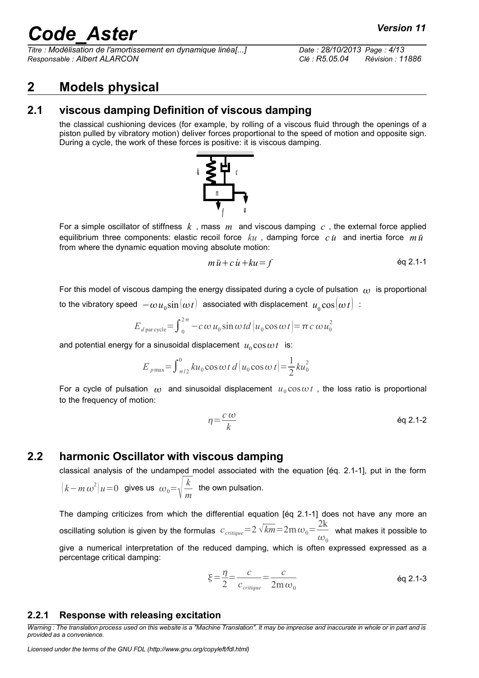*Titre : Modélisation de l'amortissement en dynamique linéa[...] Date : 28/10/2013 Page : 4/13 Responsable : Albert ALARCON Clé : R5.05.04 Révision : 11886*

# <span id="page-3-3"></span>**2 Models physical**

### **2.1 viscous damping Definition of viscous damping**

<span id="page-3-2"></span>the classical cushioning devices (for example, by rolling of a viscous fluid through the openings of a piston pulled by vibratory motion) deliver forces proportional to the speed of motion and opposite sign. During a cycle, the work of these forces is positive: it is viscous damping.



For a simple oscillator of stiffness *k* , mass *m* and viscous damping *c* , the external force applied equilibrium three components: elastic recoil force  $ku$  , damping force  $c\,\dot u$  and inertia force  $m\,\ddot u$ from where the dynamic equation moving absolute motion:

$$
m\ddot{u} + c\dot{u} + ku = f \tag{6q 2.1-1}
$$

For this model of viscous damping the energy dissipated during a cycle of pulsation  $\omega$  is proportional to the vibratory speed  $\,\,-\omega\,u_{\,0} \rm{sin}[\omega\it{t}\,] \,\,$  associated with displacement  $\,\overline{u_{\,0}} \rm{cos}[\omega\it{t}\,] \,$  :

$$
E_{d \text{ par cycle}} = \int_0^{2\pi} -c \omega u_0 \sin \omega t d \left| u_0 \cos \omega t \right| = \pi c \omega u_0^2
$$

and potential energy for a sinusoidal displacement  $u_0 \cos \omega t$  is:

$$
E_{p\max} = \int_{\pi/2}^{0} ku_0 \cos \omega t \, d\big(u_0 \cos \omega t\big) = \frac{1}{2} ku_0^2
$$

For a cycle of pulsation  $\omega$  and sinusoidal displacement  $u_0 \cos \omega t$ , the loss ratio is proportional to the frequency of motion:

$$
\eta = \frac{c \omega}{k} \qquad \qquad \text{Eq 2.1-2}
$$

### **2.2 harmonic Oscillator with viscous damping**

<span id="page-3-1"></span>classical analysis of the undamped model associated with the equation [éq. 2.1-1], put in the form  $(k-m\omega^2)u=0$  gives us  $\omega_0=\sqrt{\frac{k}{m}}$ *m* the own pulsation.

The damping criticizes from which the differential equation [éq 2.1-1] does not have any more an oscillating solution is given by the formulas  $\; c_{\mathit{critique}}\!=\!2\,\sqrt{km}\!=\!2\mathrm{m}\,\omega_0\!=\!\frac{2\mathrm{k}}{2\mathrm{m}}$  $\overline{\omega}_{_0}$  what makes it possible to give a numerical interpretation of the reduced damping, which is often expressed expressed as a percentage critical damping:

$$
\xi = \frac{\eta}{2} = \frac{c}{c_{\text{critique}}} = \frac{c}{2m\,\omega_0} \tag{6q 2.1-3}
$$

#### <span id="page-3-0"></span>**2.2.1 Response with releasing excitation**

*Warning : The translation process used on this website is a "Machine Translation". It may be imprecise and inaccurate in whole or in part and is provided as a convenience.*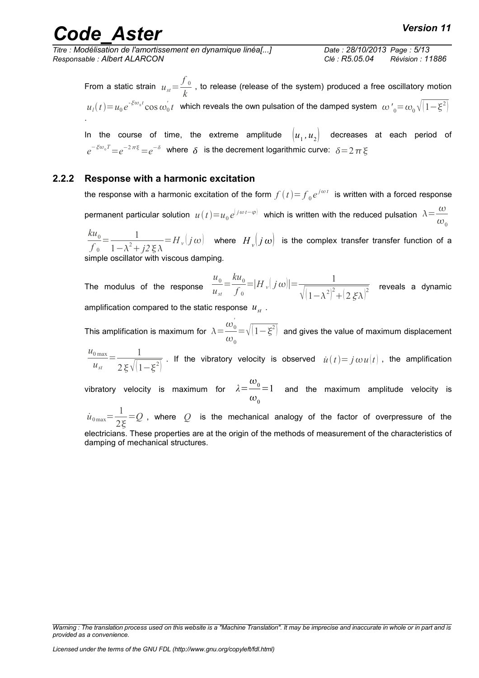*Titre : Modélisation de l'amortissement en dynamique linéa[...] Date : 28/10/2013 Page : 5/13 Responsable : Albert ALARCON Clé : R5.05.04 Révision : 11886*

From a static strain  $u_{st}$ =  $f_{\vert 0}$  $\frac{10}{k}$  , to release (release of the system) produced a free oscillatory motion  $u_l(t)\!=\!u_0 e^{‐\xi \omega_0 t}\cos \omega_0^{'} t$  which reveals the own pulsation of the damped system  $\omega'{}_{0}\!=\!\omega_0\sqrt{(1\!-\!\xi^2)}$ .

In the course of time, the extreme amplitude  $\big\lvert u_{_1},u_{_2}\big\rvert$  decreases at each period of  $e^{-\xi\omega_{_0}T}\!=\!e^{-2\,\pi\xi}\!=\!e^{-\delta}~$  where  $~\delta~$  is the decrement logarithmic curve:  $~\delta\!=\!2\,\pi\,\xi$ 

#### **2.2.2 Response with a harmonic excitation**

<span id="page-4-0"></span>the response with a harmonic excitation of the form  $f\left(t\right){=}\overline{f}_0e^{j\omega t}$  is written with a forced response permanent particular solution  $u(t)=u_0e^{[j\omega t-\varphi]}$  which is written with the reduced pulsation  $\lambda=\frac{\omega}{\omega}$  $\omega_0$ 

 $ku_{0}$  $f_{\,0}$  $=\frac{1}{\sqrt{1-\frac{2}{x^2}}}$  $\frac{1}{1-\lambda^2+j2\,\xi\,\lambda}$  =  $H_v(j\,\omega)$  where  $H_v(j\,\omega)$  is the complex transfer transfer function of a simple oscillator with viscous damping.

The modulus of the response  $u<sub>0</sub>$ *ust*  $=\frac{ku_0}{c}$  $f_{\,0}$  $=$  $|H_v(j\omega)| = \frac{1}{|j - j\omega|^2}$  $\sqrt{(1-\lambda^2)^2}$  $\overline{ \left[ 2\, \xi \lambda \right]^2} \quad$  reveals a dynamic amplification compared to the static response  $u_{st}$ .

This amplification is maximum for  $\lambda \!=\! \frac{\omega^{'}_0}{2}$  $\omega_{0}$  $\langle \Delta \rangle = \sqrt{\left(1-\xi^2\right)}\;$  and gives the value of maximum displacement

 $u_{0\max}$ *ust*  $=-\frac{1}{\sqrt{1-\frac{1}{2}}}\frac{1}{\sqrt{1-\frac{1}{2}}\sqrt{1-\frac{1}{2}}\left(\frac{1}{2}-\frac{1}{2}\right)}$  $2\xi\sqrt{1-\xi^2}$  If the vibratory velocity is observed  $\dot{u}(t) = j \omega u(t)$ , the amplification

 $\frac{\omega_0}{\omega_{\rm{c}}}$ vibratory velocity is maximum for  $\lambda \! = \! \frac{\omega_0}{\omega_{\rm{c}}}$  $\omega_{0}$  $=1$  and the maximum amplitude velocity is

 $\dot{u}_{0\,\text{max}} = \frac{1}{2}$  $2\xi$ =*Q* , where *Q* is the mechanical analogy of the factor of overpressure of the electricians. These properties are at the origin of the methods of measurement of the characteristics of damping of mechanical structures.

*Warning : The translation process used on this website is a "Machine Translation". It may be imprecise and inaccurate in whole or in part and is provided as a convenience.*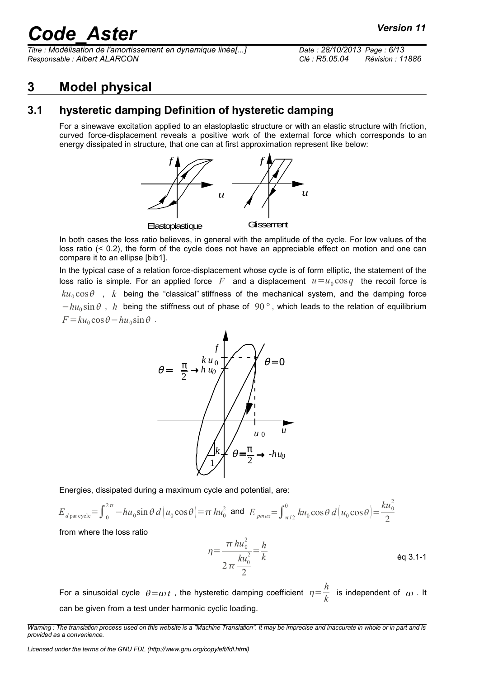*Titre : Modélisation de l'amortissement en dynamique linéa[...] Date : 28/10/2013 Page : 6/13 Responsable : Albert ALARCON Clé : R5.05.04 Révision : 11886*

# <span id="page-5-1"></span>**3 Model physical**

## **3.1 hysteretic damping Definition of hysteretic damping**

<span id="page-5-0"></span>For a sinewave excitation applied to an elastoplastic structure or with an elastic structure with friction, curved force-displacement reveals a positive work of the external force which corresponds to an energy dissipated in structure, that one can at first approximation represent like below:



In both cases the loss ratio believes, in general with the amplitude of the cycle. For low values of the loss ratio (< 0.2), the form of the cycle does not have an appreciable effect on motion and one can compare it to an ellipse [bib1].

In the typical case of a relation force-displacement whose cycle is of form elliptic, the statement of the loss ratio is simple. For an applied force  $|F|$  and a displacement  $|u=u_0 \cos q|$  the recoil force is  $ku_0 \cos \theta$ , *k* being the "classical" stiffness of the mechanical system, and the damping force  $-hu_0 \sin \theta$ , *h* being the stiffness out of phase of 90°, which leads to the relation of equilibrium  $F = ku_0 \cos\theta - hu_0 \sin\theta$ .



Energies, dissipated during a maximum cycle and potential, are:

$$
E_{d \text{ par cycle}} = \int_0^{2\pi} -hu_0 \sin \theta \, d\left(u_0 \cos \theta\right) = \pi \, hu_0^2 \text{ and } E_{pmax} = \int_{\pi/2}^0 ku_0 \cos \theta \, d\left(u_0 \cos \theta\right) = \frac{ku_0^2}{2}
$$

from where the loss ratio

$$
\eta = \frac{\pi h u_0^2}{2 \pi \frac{k u_0^2}{2}} = \frac{h}{k}
$$
 eq 3.1-1

For a sinusoidal cycle  $\theta = \omega t$  , the hysteretic damping coefficient  $\eta = \frac{h}{\hbar}$  $\frac{n}{k}$  is independent of  $\omega$  . It can be given from a test under harmonic cyclic loading.

*Warning : The translation process used on this website is a "Machine Translation". It may be imprecise and inaccurate in whole or in part and is provided as a convenience.*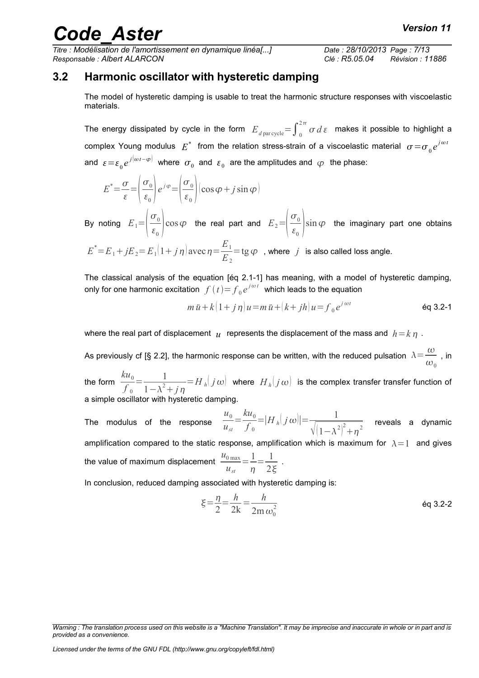*Titre : Modélisation de l'amortissement en dynamique linéa[...] Date : 28/10/2013 Page : 7/13 Responsable : Albert ALARCON Clé : R5.05.04 Révision : 11886*

### **3.2 Harmonic oscillator with hysteretic damping**

<span id="page-6-0"></span>The model of hysteretic damping is usable to treat the harmonic structure responses with viscoelastic materials.

The energy dissipated by cycle in the form  $|E_{d \, \text{par cycle}}{=}\int_0^{2\pi}\sigma\,d\,\varepsilon$  makes it possible to highlight a complex Young modulus  $|E^*|$  from the relation stress-strain of a viscoelastic material  $|\sigma \!=\! \sigma_{\mathbf{0}} e^{j \omega t}$ and  $\epsilon \!=\! \epsilon_{0} e^{j[\omega t - \varphi]}$  where  $\sigma_{0}$  and  $\epsilon_{0}$  are the amplitudes and  $\varphi$  the phase:

$$
E^* = \frac{\sigma}{\varepsilon} = \left(\frac{\sigma_0}{\varepsilon_0}\right) e^{j\varphi} = \left(\frac{\sigma_0}{\varepsilon_0}\right) (\cos \varphi + j \sin \varphi)
$$

By noting  $E_1 = \left| \frac{1}{\epsilon} \right|$  $\sigma_{0}$  $\left(\frac{\varepsilon_0}{\varepsilon_0}\right)$  cos  $\varphi$  the real part and  $E_2 = \left(\frac{\varepsilon_0}{\varepsilon_0}\right)$  $\sigma$ <sub>0</sub>  $\left(\frac{\varepsilon_0}{\varepsilon_0}\right)$  sin  $\varphi$  the imaginary part one obtains

 $E^* = E_1 + jE_2 = E_1(1 + j\eta)$  avec  $\eta = \frac{E_1}{E_2}$ *E*2  $=\tg \varphi$ , where *j* is also called loss angle.

The classical analysis of the equation [éq 2.1-1] has meaning, with a model of hysteretic damping, only for one harmonic excitation  $\left. f\left( t\right) {\rm{ = }}{f_0}{e^{{j\omega t}}}$  which leads to the equation

$$
m\ddot{u} + k\left(1+j\eta\right)u = m\ddot{u} + \left(k+jh\right)u = f_0 e^{j\omega t}
$$

where the real part of displacement  $u$  represents the displacement of the mass and  $h = k n$ .

As previously cf [§ 2.2], the harmonic response can be written, with the reduced pulsation  $\Lambda \! = \! \frac{\omega}{\omega}$  $\frac{\infty}{\omega_0}$  , in

the form  $\frac{ku_0}{a}$  $f_{\,0}$  $=\frac{1}{\sqrt{2}}$  $\frac{1}{1-\lambda^2+j\eta}$ = $H$ <sub>*h*</sub> $j\omega$  where  $H$ <sub>*h*</sub> $(j\omega)$  is the complex transfer transfer function of a simple oscillator with hysteretic damping.

The modulus of the response  $u<sub>0</sub>$ *ust*  $=\frac{ku_0}{c}$  $f$ <sub>0</sub>  $=$  $|H_h(j\omega)| = \frac{1}{\sqrt{1-\frac{1}{n}}}$  $\sqrt{(1-\lambda^2)^2}$  $\overline{\frac{1}{2+n^2}}$  reveals a dynamic amplification compared to the static response, amplification which is maximum for  $\lambda = 1$  and gives the value of maximum displacement  $\frac{u_{0\max}}{}$ *ust*  $=\frac{1}{2}$  $\eta$  $=\frac{1}{2}$  $\frac{1}{2\xi}$ .

In conclusion, reduced damping associated with hysteretic damping is:

$$
\xi = \frac{\eta}{2} = \frac{h}{2k} = \frac{h}{2m \omega_0^2}
$$

*Warning : The translation process used on this website is a "Machine Translation". It may be imprecise and inaccurate in whole or in part and is provided as a convenience.*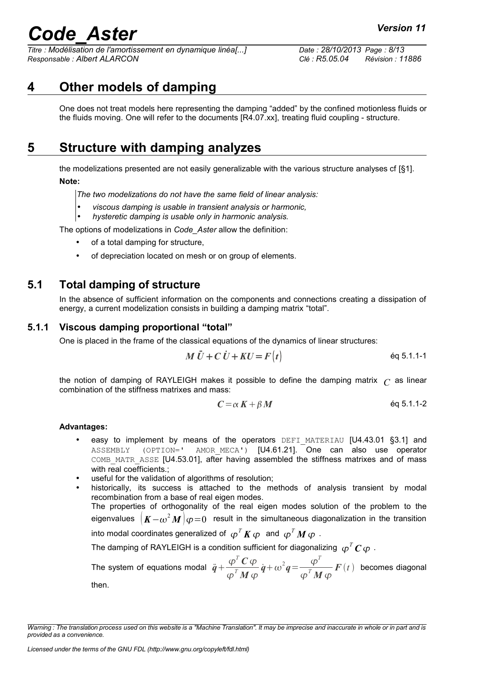*Titre : Modélisation de l'amortissement en dynamique linéa[...] Date : 28/10/2013 Page : 8/13 Responsable : Albert ALARCON Clé : R5.05.04 Révision : 11886*

# **4 Other models of damping**

<span id="page-7-3"></span>One does not treat models here representing the damping "added" by the confined motionless fluids or the fluids moving. One will refer to the documents [R4.07.xx], treating fluid coupling - structure.

# **5 Structure with damping analyzes**

<span id="page-7-2"></span>the modelizations presented are not easily generalizable with the various structure analyses cf [§1]. **Note:**

*The two modelizations do not have the same field of linear analysis:*

- *viscous damping is usable in transient analysis or harmonic,*
- *hysteretic damping is usable only in harmonic analysis.*

The options of modelizations in *Code\_Aster* allow the definition:

- of a total damping for structure,
- of depreciation located on mesh or on group of elements.

### **5.1 Total damping of structure**

<span id="page-7-1"></span>In the absence of sufficient information on the components and connections creating a dissipation of energy, a current modelization consists in building a damping matrix "total".

#### **5.1.1 Viscous damping proportional "total"**

<span id="page-7-0"></span>One is placed in the frame of the classical equations of the dynamics of linear structures:

$$
M\ddot{U} + C\dot{U} + KU = F(t)
$$
éq 5.1.1-1

the notion of damping of RAYLEIGH makes it possible to define the damping matrix  $\Gamma$  as linear combination of the stiffness matrixes and mass:

$$
C = \alpha K + \beta M \qquad \qquad \text{Eq 5.1.1-2}
$$

#### **Advantages:**

- easy to implement by means of the operators DEFI MATERIAU  $[U4.43.01 \text{ §}3.1]$  and ASSEMBLY (OPTION=' AMOR\_MECA') [U4.61.21]. One can also use operator COMB\_MATR\_ASSE [U4.53.01], after having assembled the stiffness matrixes and of mass with real coefficients.;
- useful for the validation of algorithms of resolution;

historically, its success is attached to the methods of analysis transient by modal recombination from a base of real eigen modes. The properties of orthogonality of the real eigen modes solution of the problem to the eigenvalues  $\left. \left( K\! -\! \omega^2 \bm{M} \right) \! \varphi \!=\! 0 \right. \,$  result in the simultaneous diagonalization in the transition into modal coordinates generalized of  $\bm{\,\,\varphi}^T\bm{K}\bm{\,\,\varphi}\bm{\,}$  and  $\bm{\,\,\varphi}^T\bm{M}\bm{\,\,\varphi}\bm{\,}$  . The damping of RAYLEIGH is a condition sufficient for diagonalizing  $\ \varphi^{\mathit{T}}\boldsymbol{C}\,\varphi\,$  . The system of equations modal  $\ddot{q} + \frac{\varphi^T C \varphi}{T}$  $\frac{\varphi^T C \varphi}{\varphi^T M \varphi} \dot{q} + \omega^2 q = \frac{\varphi^T}{\varphi^T M}$  $\frac{\varphi}{\varphi^{T}M\,\varphi}F(t)$  becomes diagonal then.

*Warning : The translation process used on this website is a "Machine Translation". It may be imprecise and inaccurate in whole or in part and is provided as a convenience.*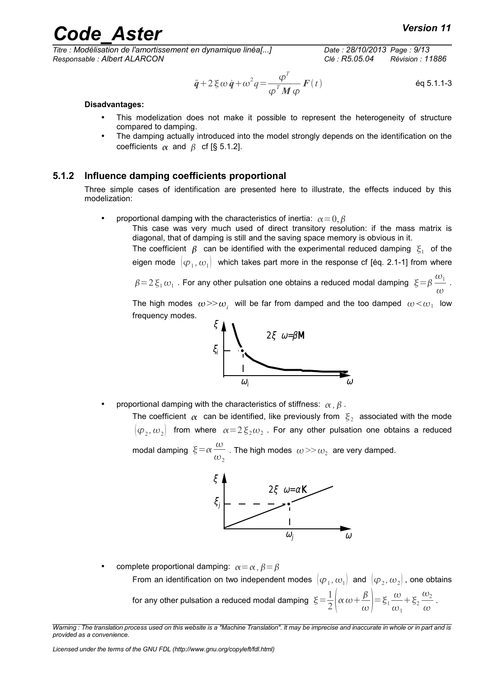# rande  $A$ ster *Code Code Code Code Code Code Code Code Code Code Code Code Code Code Code Code Code Code Code Code Code Code Code Code Code Code Code Code Code Co*

*Titre : Modélisation de l'amortissement en dynamique linéa[...] Date : 28/10/2013 Page : 9/13 Responsable : Albert ALARCON Clé : R5.05.04 Révision : 11886*

$$
\ddot{\boldsymbol{q}} + 2 \boldsymbol{\xi} \omega \dot{\boldsymbol{q}} + \omega^2 \boldsymbol{q} = \frac{\boldsymbol{\phi}^T}{\boldsymbol{\phi}^T \boldsymbol{M} \boldsymbol{\phi}} \boldsymbol{F}(t) \tag{6q 5.1.1-3}
$$

#### **Disadvantages:**

- This modelization does not make it possible to represent the heterogeneity of structure compared to damping.
- The damping actually introduced into the model strongly depends on the identification on the coefficients  $\alpha$  and  $\beta$  cf [§ 5.1.2].

#### **5.1.2 Influence damping coefficients proportional**

<span id="page-8-0"></span>Three simple cases of identification are presented here to illustrate, the effects induced by this modelization:

proportional damping with the characteristics of inertia:  $\alpha = 0, \beta$ 

This case was very much used of direct transitory resolution: if the mass matrix is diagonal, that of damping is still and the saving space memory is obvious in it.

The coefficient  $\,\beta\,$  can be identified with the experimental reduced damping  $\,{\xi}_1\,$  of the eigen mode  $\, [\varphi_{_{1}},\omega_{_{1}}]\,$  which takes part more in the response cf [éq. 2.1-1] from where

 $\beta\!=\!2\,\xi_1\omega_1$  . For any other pulsation one obtains a reduced modal damping  $\vert\xi\!=\!\beta\frac{\omega_1}{\omega_1}$  $\omega$ .

The high modes  $\omega > > \omega$ , will be far from damped and the too damped  $\omega < \omega_1$  low frequency modes.



proportional damping with the characteristics of stiffness:  $\alpha$ ,  $\beta$ .

The coefficient  $\alpha$  can be identified, like previously from  $\vert \xi_2 \vert$  associated with the mode  $(\varphi_{_2},\omega_{_2})$  from where  $\alpha\!=\!2\,\xi_{_2}\omega_{_2}$  . For any other pulsation one obtains a reduced modal damping  $\xi = \alpha \frac{\omega}{\omega}$  $\frac{\infty}{\omega_2}$  . The high modes  $\omega >> \omega_2$  are very damped.



complete proportional damping:  $\alpha = \alpha$ ,  $\beta = \beta$ From an identification on two independent modes  $\, [\varphi_1^{},\omega_1^{}] \,$  and  $\, [\varphi_2^{},\omega_2^{}]$  , one obtains for any other pulsation a reduced modal damping  $\vert \xi \vert = \frac{1}{2}$  $rac{1}{2} \alpha \omega + \frac{\beta}{\omega}$  $\left(\frac{\beta}{\omega}\right)$  =  $\xi_1 \frac{\omega}{\omega_1}$  $\omega_1$  $+\xi_2$  $\omega_2$  $\omega$ .

*Warning : The translation process used on this website is a "Machine Translation". It may be imprecise and inaccurate in whole or in part and is provided as a convenience.*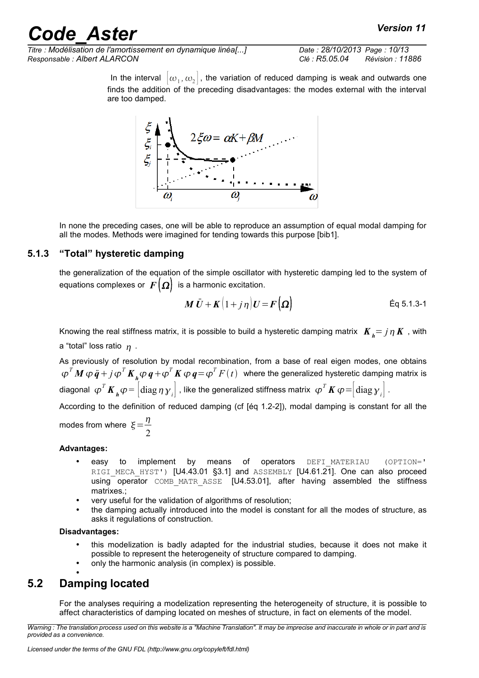# de Aster *Code Aster Code Aster Code Aster Code Aster Code Aster*

*Titre : Modélisation de l'amortissement en dynamique linéa[...] Date : 28/10/2013 Page : 10/13 Responsable : Albert ALARCON Clé : R5.05.04 Révision : 11886*

In the interval  $\left[\omega_1,\omega_2\right]$ , the variation of reduced damping is weak and outwards one finds the addition of the preceding disadvantages: the modes external with the interval are too damped.



In none the preceding cases, one will be able to reproduce an assumption of equal modal damping for all the modes. Methods were imagined for tending towards this purpose [bib1].

#### **5.1.3 "Total" hysteretic damping**

<span id="page-9-1"></span>the generalization of the equation of the simple oscillator with hysteretic damping led to the system of equations complexes or  $F(\Omega)$  is a harmonic excitation.

$$
\boldsymbol{M}\ddot{\boldsymbol{U}} + \boldsymbol{K}\big(1+j\,\eta\big)\boldsymbol{U} = \boldsymbol{F}\big(\boldsymbol{\Omega}\big) \tag{Eq 5.1.3-1}
$$

Knowing the real stiffness matrix, it is possible to build a hysteretic damping matrix  $K_i = j \eta K$ , with a "total" loss ratio  $\eta$ .

As previously of resolution by modal recombination, from a base of real eigen modes, one obtains  $\bm{\varphi}^TM\,\bm{\varphi}\,\ddot{\bm{q}}+j\,\bm{\varphi}^T\bm{K}_{\bm{\mu}}\bm{\varphi}\,\bm{q}+\bm{\varphi}^T\bm{K}\,\bm{\varphi}\,\bm{q}\!=\!\bm{\varphi}^T\,F\,(\,t\,)$  where the generalized hysteretic damping matrix is diagonal  $\ket{\varphi^T\pmb{K}_\pmb{\mu}\varphi}=\left|\text{diag}\,\eta\,\gamma_{_I}\right|$  , like the generalized stiffness matrix  $\ket{\varphi^T\pmb{K}\varphi}=\left|\text{diag}\,\gamma_{_I}\right|$  .

According to the definition of reduced damping (cf [éq 1.2-2]), modal damping is constant for all the

modes from where  $\xi = \frac{\eta}{\eta}$ 2

#### **Advantages:**

- easy to implement by means of operators DEFI\_MATERIAU (OPTION=' RIGI MECA HYST') [U4.43.01 §3.1] and ASSEMBLY [U4.61.21]. One can also proceed using operator COMB MATR ASSE [U4.53.01], after having assembled the stiffness matrixes.;
- very useful for the validation of algorithms of resolution;
- the damping actually introduced into the model is constant for all the modes of structure, as asks it regulations of construction.

#### **Disadvantages:**

- this modelization is badly adapted for the industrial studies, because it does not make it possible to represent the heterogeneity of structure compared to damping.
- only the harmonic analysis (in complex) is possible.

#### • **5.2 Damping located**

<span id="page-9-0"></span>For the analyses requiring a modelization representing the heterogeneity of structure, it is possible to affect characteristics of damping located on meshes of structure, in fact on elements of the model.

*Warning : The translation process used on this website is a "Machine Translation". It may be imprecise and inaccurate in whole or in part and is provided as a convenience.*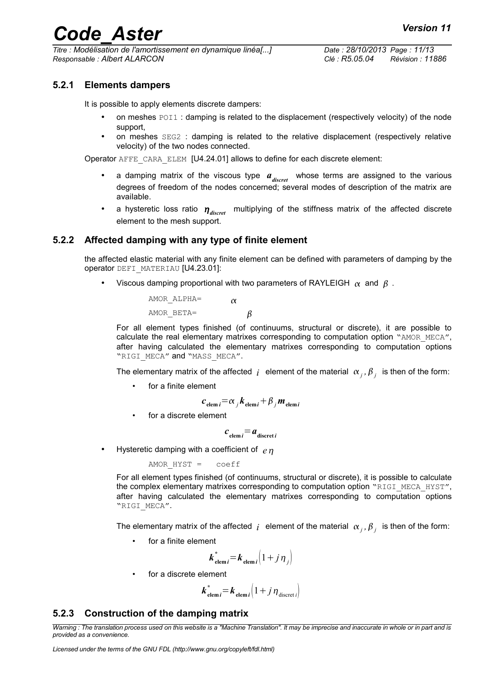*Titre : Modélisation de l'amortissement en dynamique linéa[...] Date : 28/10/2013 Page : 11/13 Responsable : Albert ALARCON Clé : R5.05.04 Révision : 11886*

#### **5.2.1 Elements dampers**

<span id="page-10-2"></span>It is possible to apply elements discrete dampers:

- on meshes POI1 : damping is related to the displacement (respectively velocity) of the node support,
- on meshes SEG2 : damping is related to the relative displacement (respectively relative velocity) of the two nodes connected.

Operator AFFE\_CARA\_ELEM [U4.24.01] allows to define for each discrete element:

- a damping matrix of the viscous type  $a_{discret}$  whose terms are assigned to the various degrees of freedom of the nodes concerned; several modes of description of the matrix are available.
- a hysteretic loss ratio  $\eta_{\text{discret}}$  multiplying of the stiffness matrix of the affected discrete element to the mesh support.

#### **5.2.2 Affected damping with any type of finite element**

<span id="page-10-1"></span>the affected elastic material with any finite element can be defined with parameters of damping by the operator DEFI\_MATERIAU [U4.23.01]:

Viscous damping proportional with two parameters of RAYLEIGH  $\alpha$  and  $\beta$ .

| AMOR ALPHA= | $\alpha$ |   |
|-------------|----------|---|
| AMOR BETA=  |          | β |

For all element types finished (of continuums, structural or discrete), it are possible to calculate the real elementary matrixes corresponding to computation option "AMOR MECA", after having calculated the elementary matrixes corresponding to computation options "RIGI\_MECA" and "MASS\_MECA".

The elementary matrix of the affected  $j$  element of the material  $\alpha_j$ ,  $\beta_j$  is then of the form:

• for a finite element

$$
c_{\text{elem }i} = \alpha_j k_{\text{elem }i} + \beta_j m_{\text{elem }i}
$$

for a discrete element

$$
c_{\text{elem }i} = a_{\text{discret }i}
$$

• Hysteretic damping with a coefficient of *e*

AMOR HYST = coeff

For all element types finished (of continuums, structural or discrete), it is possible to calculate the complex elementary matrixes corresponding to computation option "RIGI\_MECA\_HYST", after having calculated the elementary matrixes corresponding to computation options "RIGI\_MECA".

The elementary matrix of the affected  $j$  element of the material  $\alpha_j$ ,  $\beta_j$  is then of the form:

for a finite element

$$
\boldsymbol{k}_{\text{elem }i}^* = \boldsymbol{k}_{\text{elem }i} \left( 1 + j \, \boldsymbol{\eta}_j \right)
$$

for a discrete element

$$
\boldsymbol{k}_{\text{elem }i}^* = \boldsymbol{k}_{\text{elem }i} \left( 1 + j \, \boldsymbol{\eta}_{\text{discret }i} \right)
$$

#### <span id="page-10-0"></span>**5.2.3 Construction of the damping matrix**

*Warning : The translation process used on this website is a "Machine Translation". It may be imprecise and inaccurate in whole or in part and is provided as a convenience.*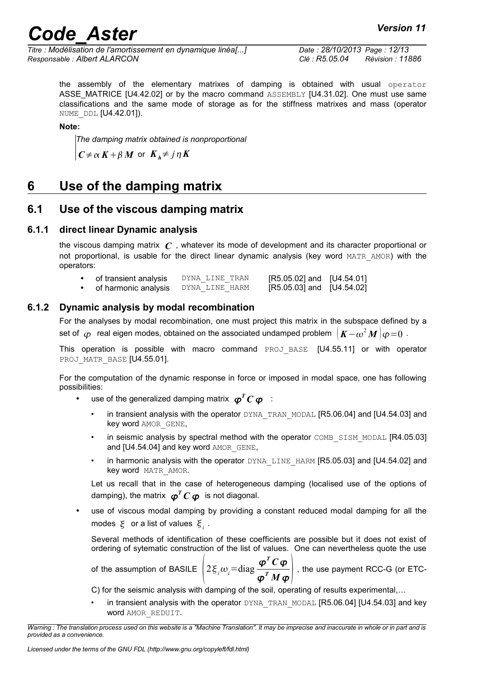# *Code* Aster *Code* **Aster** *Code Code Code Code Code Code Code Code Code Code Code Code Code Code Code Code Code Code Code Code Code Code Code Code Code Code Code Code*

*Titre : Modélisation de l'amortissement en dynamique linéa[...] Date : 28/10/2013 Page : 12/13 Responsable : Albert ALARCON Clé : R5.05.04 Révision : 11886*

the assembly of the elementary matrixes of damping is obtained with usual operator ASSE\_MATRICE [U4.42.02] or by the macro command ASSEMBLY [U4.31.02]. One must use same classifications and the same mode of storage as for the stiffness matrixes and mass (operator NUME DDL [U4.42.01]).

**Note:**

*The damping matrix obtained is nonproportional* 

 $C \neq \alpha K + \beta M$  or  $K_h \neq j \eta K$ 

# <span id="page-11-3"></span>**6 Use of the damping matrix**

### <span id="page-11-2"></span>**6.1 Use of the viscous damping matrix**

#### **6.1.1 direct linear Dynamic analysis**

<span id="page-11-1"></span>the viscous damping matrix *C* , whatever its mode of development and its character proportional or not proportional, is usable for the direct linear dynamic analysis (key word MATR\_AMOR) with the operators:

| of transient analysis | DYNA LINE TRAN | $[R5.05.02]$ and $[U4.54.01]$ |  |
|-----------------------|----------------|-------------------------------|--|
| of harmonic analysis  | DYNA LINE HARM | [R5.05.03] and [U4.54.02]     |  |

### **6.1.2 Dynamic analysis by modal recombination**

<span id="page-11-0"></span>For the analyses by modal recombination, one must project this matrix in the subspace defined by a set of  $~\varphi~$  real eigen modes, obtained on the associated undamped problem  $~\pmb{|}~\pmb{K}{-}\omega^2\pmb{M}~\pmb{|}~\pmb{\varphi} {=} 0~$  .

This operation is possible with macro command PROJ\_BASE [U4.55.11] or with operator PROJ MATR BASE [U4.55.01].

For the computation of the dynamic response in force or imposed in modal space, one has following possibilities:

- use of the generalized damping matrix  $\boldsymbol{\varphi}^T \boldsymbol{C} \, \boldsymbol{\varphi}$  :
	- in transient analysis with the operator DYNA\_TRAN\_MODAL [R5.06.04] and [U4.54.03] and key word AMOR GENE,
	- in seismic analysis by spectral method with the operator COMB\_SISM\_MODAL [R4.05.03] and [U4.54.04] and key word AMOR GENE,
	- in harmonic analysis with the operator DYNA LINE HARM [R5.05.03] and [U4.54.02] and key word MATR\_AMOR.

Let us recall that in the case of heterogeneous damping (localised use of the options of damping), the matrix  $\bm{\phi}^T\bm{C}\bm{\varphi}$  is not diagonal.

use of viscous modal damping by providing a constant reduced modal damping for all the modes  $\xi$  or a list of values  $\xi_i$ .

Several methods of identification of these coefficients are possible but it does not exist of ordering of sytematic construction of the list of values. One can nevertheless quote the use

of the assumption of BASILE  $2\xi_i\omega_i = \text{diag} \frac{\boldsymbol{\varphi}^T \boldsymbol{C} \boldsymbol{\varphi}}{T \boldsymbol{M}}$  $\left(\frac{\rho^T M \varphi}{\varphi^T M \varphi}\right)$ , the use payment RCC-G (or ETC-

C) for the seismic analysis with damping of the soil, operating of results experimental,…

in transient analysis with the operator DYNA\_TRAN\_MODAL [R5.06.04] [U4.54.03] and key word AMOR\_REDUIT.

*Warning : The translation process used on this website is a "Machine Translation". It may be imprecise and inaccurate in whole or in part and is provided as a convenience.*